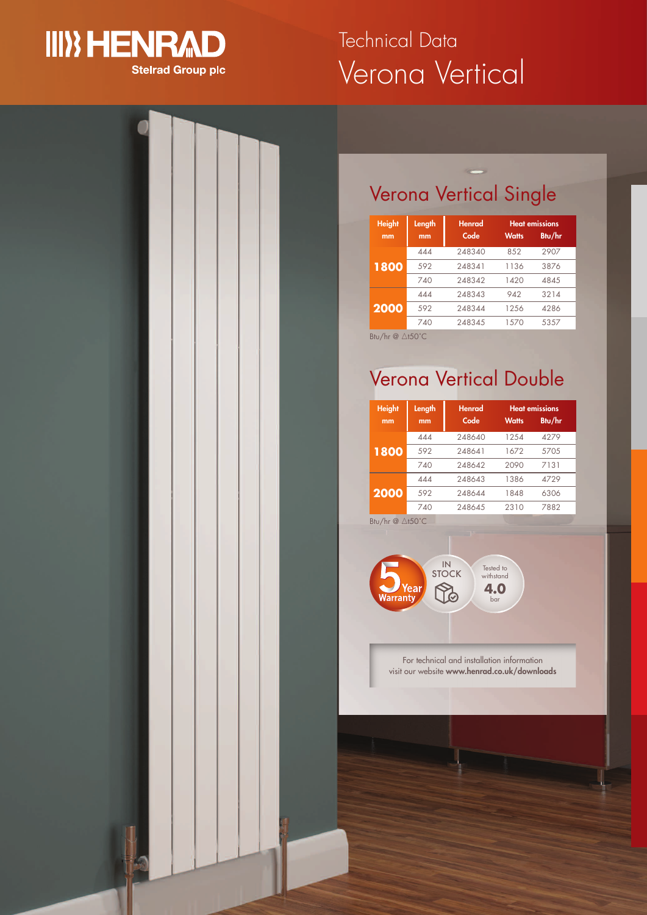



# Verona Vertical Technical Data

## Verona Vertical Single

|  | <b>Height</b><br>mm | Length<br>mm | <b>Henrad</b><br>Code | <b>Watts</b> | <b>Heat emissions</b><br>Btu/hr |  |
|--|---------------------|--------------|-----------------------|--------------|---------------------------------|--|
|  | 1800                | 444          | 248340                | 852          | 2907                            |  |
|  |                     | 592          | 248341                | 1136         | 3876                            |  |
|  |                     | 740          | 248342                | 1420         | 4845                            |  |
|  |                     | 444          | 248343                | 942          | 3214                            |  |
|  | 2000                | 592          | 248344                | 1256         | 4286                            |  |
|  |                     | 740          | 248345                | 1570         | 5357                            |  |
|  | 28                  |              |                       |              |                                 |  |

Btu/hr @ ∆t50°C

## Verona Vertical Double

| <b>Height</b> | Length               | <b>Henrad</b> | <b>Heat emissions</b> |        |
|---------------|----------------------|---------------|-----------------------|--------|
| mm            | mm                   | Code          | <b>Watts</b>          | Btu/hr |
| 1800          | $\Delta\Delta\Delta$ | 248640        | 1254                  | 4279   |
|               | 592                  | 248641        | 1672                  | 5705   |
|               | 740                  | 248642        | 2090                  | 7131   |
| 2000          | $\Delta\Delta\Delta$ | 248643        | 1386                  | 4729   |
|               | 592                  | 248644        | 1848                  | 6306   |
|               | 740                  | 248645        | 2310                  | 7882   |

Btu/hr



For technical and installation information visit our website **www.henrad.co.uk/downloads**